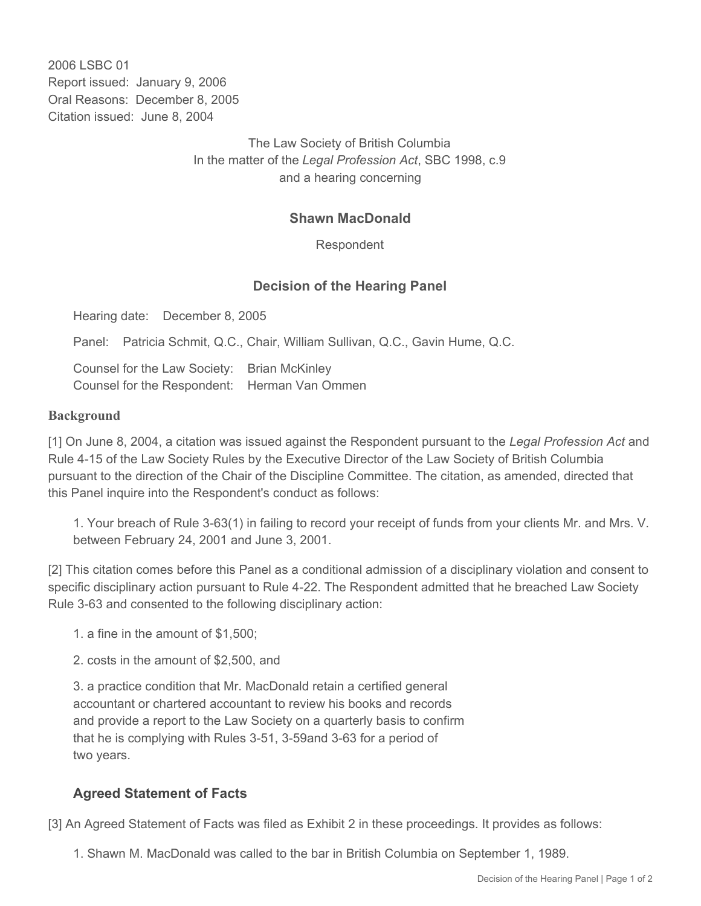2006 LSBC 01 Report issued: January 9, 2006 Oral Reasons: December 8, 2005 Citation issued: June 8, 2004

> The Law Society of British Columbia In the matter of the *Legal Profession Act*, SBC 1998, c.9 and a hearing concerning

## **Shawn MacDonald**

Respondent

## **Decision of the Hearing Panel**

Hearing date: December 8, 2005

Panel: Patricia Schmit, Q.C., Chair, William Sullivan, Q.C., Gavin Hume, Q.C.

Counsel for the Law Society: Brian McKinley Counsel for the Respondent: Herman Van Ommen

## **Background**

[1] On June 8, 2004, a citation was issued against the Respondent pursuant to the *Legal Profession Act* and Rule 4-15 of the Law Society Rules by the Executive Director of the Law Society of British Columbia pursuant to the direction of the Chair of the Discipline Committee. The citation, as amended, directed that this Panel inquire into the Respondent's conduct as follows:

1. Your breach of Rule 3-63(1) in failing to record your receipt of funds from your clients Mr. and Mrs. V. between February 24, 2001 and June 3, 2001.

[2] This citation comes before this Panel as a conditional admission of a disciplinary violation and consent to specific disciplinary action pursuant to Rule 4-22. The Respondent admitted that he breached Law Society Rule 3-63 and consented to the following disciplinary action:

- 1. a fine in the amount of \$1,500;
- 2. costs in the amount of \$2,500, and

3. a practice condition that Mr. MacDonald retain a certified general accountant or chartered accountant to review his books and records and provide a report to the Law Society on a quarterly basis to confirm that he is complying with Rules 3-51, 3-59and 3-63 for a period of two years.

## **Agreed Statement of Facts**

[3] An Agreed Statement of Facts was filed as Exhibit 2 in these proceedings. It provides as follows:

1. Shawn M. MacDonald was called to the bar in British Columbia on September 1, 1989.